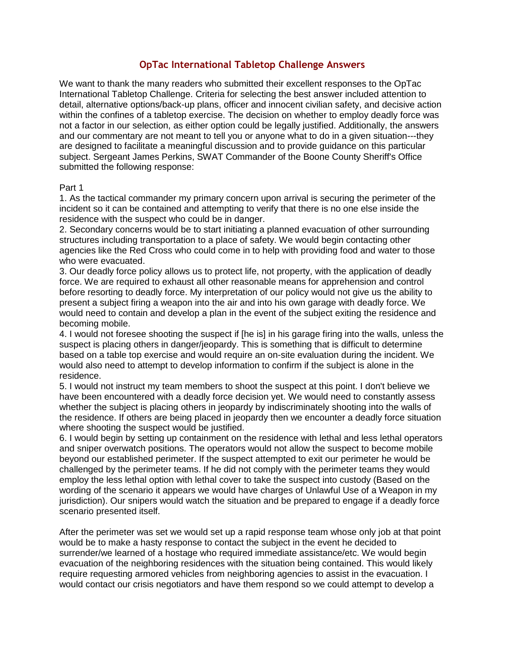## **OpTac International Tabletop Challenge Answers**

We want to thank the many readers who submitted their excellent responses to the OpTac International Tabletop Challenge. Criteria for selecting the best answer included attention to detail, alternative options/back-up plans, officer and innocent civilian safety, and decisive action within the confines of a tabletop exercise. The decision on whether to employ deadly force was not a factor in our selection, as either option could be legally justified. Additionally, the answers and our commentary are not meant to tell you or anyone what to do in a given situation---they are designed to facilitate a meaningful discussion and to provide guidance on this particular subject. Sergeant James Perkins, SWAT Commander of the Boone County Sheriff's Office submitted the following response:

## Part 1

1. As the tactical commander my primary concern upon arrival is securing the perimeter of the incident so it can be contained and attempting to verify that there is no one else inside the residence with the suspect who could be in danger.

2. Secondary concerns would be to start initiating a planned evacuation of other surrounding structures including transportation to a place of safety. We would begin contacting other agencies like the Red Cross who could come in to help with providing food and water to those who were evacuated.

3. Our deadly force policy allows us to protect life, not property, with the application of deadly force. We are required to exhaust all other reasonable means for apprehension and control before resorting to deadly force. My interpretation of our policy would not give us the ability to present a subject firing a weapon into the air and into his own garage with deadly force. We would need to contain and develop a plan in the event of the subject exiting the residence and becoming mobile.

4. I would not foresee shooting the suspect if [he is] in his garage firing into the walls, unless the suspect is placing others in danger/jeopardy. This is something that is difficult to determine based on a table top exercise and would require an on-site evaluation during the incident. We would also need to attempt to develop information to confirm if the subject is alone in the residence.

5. I would not instruct my team members to shoot the suspect at this point. I don't believe we have been encountered with a deadly force decision yet. We would need to constantly assess whether the subject is placing others in jeopardy by indiscriminately shooting into the walls of the residence. If others are being placed in jeopardy then we encounter a deadly force situation where shooting the suspect would be justified.

6. I would begin by setting up containment on the residence with lethal and less lethal operators and sniper overwatch positions. The operators would not allow the suspect to become mobile beyond our established perimeter. If the suspect attempted to exit our perimeter he would be challenged by the perimeter teams. If he did not comply with the perimeter teams they would employ the less lethal option with lethal cover to take the suspect into custody (Based on the wording of the scenario it appears we would have charges of Unlawful Use of a Weapon in my jurisdiction). Our snipers would watch the situation and be prepared to engage if a deadly force scenario presented itself.

After the perimeter was set we would set up a rapid response team whose only job at that point would be to make a hasty response to contact the subject in the event he decided to surrender/we learned of a hostage who required immediate assistance/etc. We would begin evacuation of the neighboring residences with the situation being contained. This would likely require requesting armored vehicles from neighboring agencies to assist in the evacuation. I would contact our crisis negotiators and have them respond so we could attempt to develop a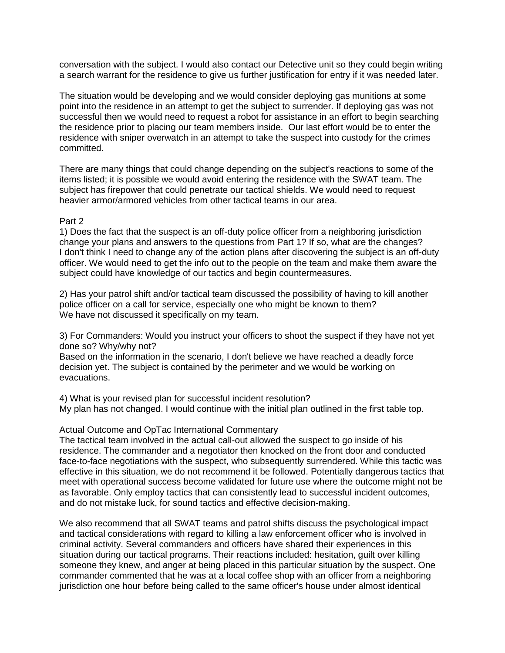conversation with the subject. I would also contact our Detective unit so they could begin writing a search warrant for the residence to give us further justification for entry if it was needed later.

The situation would be developing and we would consider deploying gas munitions at some point into the residence in an attempt to get the subject to surrender. If deploying gas was not successful then we would need to request a robot for assistance in an effort to begin searching the residence prior to placing our team members inside. Our last effort would be to enter the residence with sniper overwatch in an attempt to take the suspect into custody for the crimes committed.

There are many things that could change depending on the subject's reactions to some of the items listed; it is possible we would avoid entering the residence with the SWAT team. The subject has firepower that could penetrate our tactical shields. We would need to request heavier armor/armored vehicles from other tactical teams in our area.

## Part 2

1) Does the fact that the suspect is an off-duty police officer from a neighboring jurisdiction change your plans and answers to the questions from Part 1? If so, what are the changes? I don't think I need to change any of the action plans after discovering the subject is an off-duty officer. We would need to get the info out to the people on the team and make them aware the subject could have knowledge of our tactics and begin countermeasures.

2) Has your patrol shift and/or tactical team discussed the possibility of having to kill another police officer on a call for service, especially one who might be known to them? We have not discussed it specifically on my team.

3) For Commanders: Would you instruct your officers to shoot the suspect if they have not yet done so? Why/why not?

Based on the information in the scenario, I don't believe we have reached a deadly force decision yet. The subject is contained by the perimeter and we would be working on evacuations.

4) What is your revised plan for successful incident resolution? My plan has not changed. I would continue with the initial plan outlined in the first table top.

## Actual Outcome and OpTac International Commentary

The tactical team involved in the actual call-out allowed the suspect to go inside of his residence. The commander and a negotiator then knocked on the front door and conducted face-to-face negotiations with the suspect, who subsequently surrendered. While this tactic was effective in this situation, we do not recommend it be followed. Potentially dangerous tactics that meet with operational success become validated for future use where the outcome might not be as favorable. Only employ tactics that can consistently lead to successful incident outcomes, and do not mistake luck, for sound tactics and effective decision-making.

We also recommend that all SWAT teams and patrol shifts discuss the psychological impact and tactical considerations with regard to killing a law enforcement officer who is involved in criminal activity. Several commanders and officers have shared their experiences in this situation during our tactical programs. Their reactions included: hesitation, guilt over killing someone they knew, and anger at being placed in this particular situation by the suspect. One commander commented that he was at a local coffee shop with an officer from a neighboring jurisdiction one hour before being called to the same officer's house under almost identical